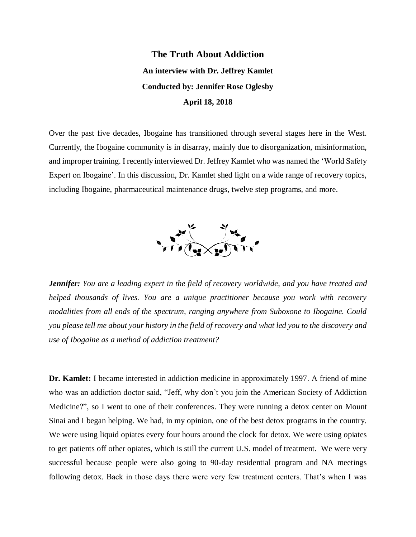## **The Truth About Addiction An interview with Dr. Jeffrey Kamlet Conducted by: Jennifer Rose Oglesby April 18, 2018**

Over the past five decades, Ibogaine has transitioned through several stages here in the West. Currently, the Ibogaine community is in disarray, mainly due to disorganization, misinformation, and improper training. I recently interviewed Dr. Jeffrey Kamlet who was named the 'World Safety Expert on Ibogaine'. In this discussion, Dr. Kamlet shed light on a wide range of recovery topics, including Ibogaine, pharmaceutical maintenance drugs, twelve step programs, and more.



*Jennifer: You are a leading expert in the field of recovery worldwide, and you have treated and helped thousands of lives. You are a unique practitioner because you work with recovery modalities from all ends of the spectrum, ranging anywhere from Suboxone to Ibogaine. Could you please tell me about your history in the field of recovery and what led you to the discovery and use of Ibogaine as a method of addiction treatment?*

**Dr. Kamlet:** I became interested in addiction medicine in approximately 1997. A friend of mine who was an addiction doctor said, "Jeff, why don't you join the American Society of Addiction Medicine?", so I went to one of their conferences. They were running a detox center on Mount Sinai and I began helping. We had, in my opinion, one of the best detox programs in the country. We were using liquid opiates every four hours around the clock for detox. We were using opiates to get patients off other opiates, which is still the current U.S. model of treatment. We were very successful because people were also going to 90-day residential program and NA meetings following detox. Back in those days there were very few treatment centers. That's when I was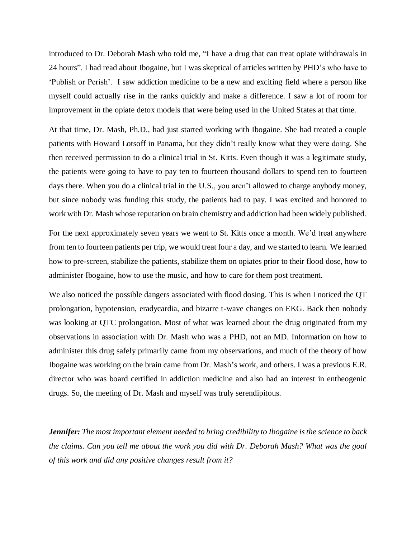introduced to Dr. Deborah Mash who told me, "I have a drug that can treat opiate withdrawals in 24 hours". I had read about Ibogaine, but I was skeptical of articles written by PHD's who have to 'Publish or Perish'. I saw addiction medicine to be a new and exciting field where a person like myself could actually rise in the ranks quickly and make a difference. I saw a lot of room for improvement in the opiate detox models that were being used in the United States at that time.

At that time, Dr. Mash, Ph.D., had just started working with Ibogaine. She had treated a couple patients with Howard Lotsoff in Panama, but they didn't really know what they were doing. She then received permission to do a clinical trial in St. Kitts. Even though it was a legitimate study, the patients were going to have to pay ten to fourteen thousand dollars to spend ten to fourteen days there. When you do a clinical trial in the U.S., you aren't allowed to charge anybody money, but since nobody was funding this study, the patients had to pay. I was excited and honored to work with Dr. Mash whose reputation on brain chemistry and addiction had been widely published.

For the next approximately seven years we went to St. Kitts once a month. We'd treat anywhere from ten to fourteen patients per trip, we would treat four a day, and we started to learn. We learned how to pre-screen, stabilize the patients, stabilize them on opiates prior to their flood dose, how to administer Ibogaine, how to use the music, and how to care for them post treatment.

We also noticed the possible dangers associated with flood dosing. This is when I noticed the QT prolongation, hypotension, eradycardia, and bizarre t-wave changes on EKG. Back then nobody was looking at QTC prolongation. Most of what was learned about the drug originated from my observations in association with Dr. Mash who was a PHD, not an MD. Information on how to administer this drug safely primarily came from my observations, and much of the theory of how Ibogaine was working on the brain came from Dr. Mash's work, and others. I was a previous E.R. director who was board certified in addiction medicine and also had an interest in entheogenic drugs. So, the meeting of Dr. Mash and myself was truly serendipitous.

*Jennifer: The most important element needed to bring credibility to Ibogaine is the science to back the claims. Can you tell me about the work you did with Dr. Deborah Mash? What was the goal of this work and did any positive changes result from it?*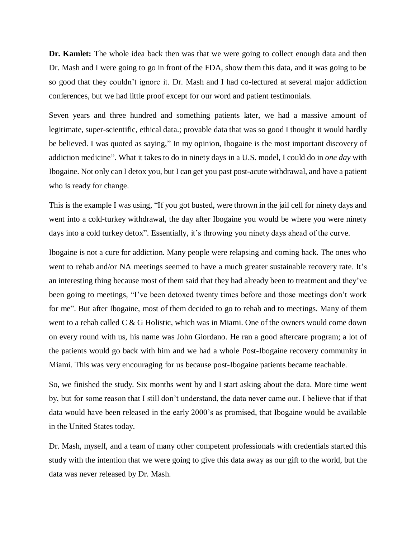**Dr. Kamlet:** The whole idea back then was that we were going to collect enough data and then Dr. Mash and I were going to go in front of the FDA, show them this data, and it was going to be so good that they couldn't ignore it. Dr. Mash and I had co-lectured at several major addiction conferences, but we had little proof except for our word and patient testimonials.

Seven years and three hundred and something patients later, we had a massive amount of legitimate, super-scientific, ethical data.; provable data that was so good I thought it would hardly be believed. I was quoted as saying," In my opinion, Ibogaine is the most important discovery of addiction medicine". What it takes to do in ninety days in a U.S. model, I could do in *one day* with Ibogaine. Not only can I detox you, but I can get you past post-acute withdrawal, and have a patient who is ready for change.

This is the example I was using, "If you got busted, were thrown in the jail cell for ninety days and went into a cold-turkey withdrawal, the day after Ibogaine you would be where you were ninety days into a cold turkey detox". Essentially, it's throwing you ninety days ahead of the curve.

Ibogaine is not a cure for addiction. Many people were relapsing and coming back. The ones who went to rehab and/or NA meetings seemed to have a much greater sustainable recovery rate. It's an interesting thing because most of them said that they had already been to treatment and they've been going to meetings, "I've been detoxed twenty times before and those meetings don't work for me". But after Ibogaine, most of them decided to go to rehab and to meetings. Many of them went to a rehab called C & G Holistic, which was in Miami. One of the owners would come down on every round with us, his name was John Giordano. He ran a good aftercare program; a lot of the patients would go back with him and we had a whole Post-Ibogaine recovery community in Miami. This was very encouraging for us because post-Ibogaine patients became teachable.

So, we finished the study. Six months went by and I start asking about the data. More time went by, but for some reason that I still don't understand, the data never came out. I believe that if that data would have been released in the early 2000's as promised, that Ibogaine would be available in the United States today.

Dr. Mash, myself, and a team of many other competent professionals with credentials started this study with the intention that we were going to give this data away as our gift to the world, but the data was never released by Dr. Mash.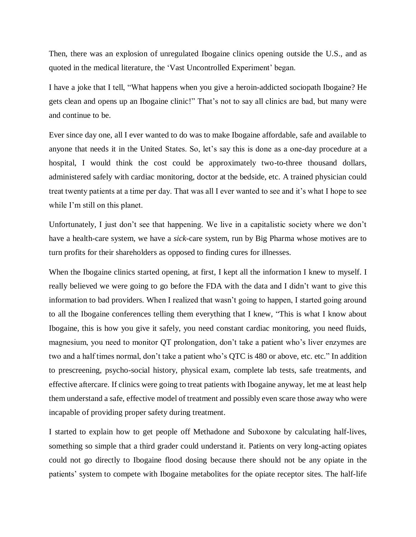Then, there was an explosion of unregulated Ibogaine clinics opening outside the U.S., and as quoted in the medical literature, the 'Vast Uncontrolled Experiment' began.

I have a joke that I tell, "What happens when you give a heroin-addicted sociopath Ibogaine? He gets clean and opens up an Ibogaine clinic!" That's not to say all clinics are bad, but many were and continue to be.

Ever since day one, all I ever wanted to do was to make Ibogaine affordable, safe and available to anyone that needs it in the United States. So, let's say this is done as a one-day procedure at a hospital, I would think the cost could be approximately two-to-three thousand dollars, administered safely with cardiac monitoring, doctor at the bedside, etc. A trained physician could treat twenty patients at a time per day. That was all I ever wanted to see and it's what I hope to see while I'm still on this planet.

Unfortunately, I just don't see that happening. We live in a capitalistic society where we don't have a health-care system, we have a *sick*-care system, run by Big Pharma whose motives are to turn profits for their shareholders as opposed to finding cures for illnesses.

When the Ibogaine clinics started opening, at first, I kept all the information I knew to myself. I really believed we were going to go before the FDA with the data and I didn't want to give this information to bad providers. When I realized that wasn't going to happen, I started going around to all the Ibogaine conferences telling them everything that I knew, "This is what I know about Ibogaine, this is how you give it safely, you need constant cardiac monitoring, you need fluids, magnesium, you need to monitor QT prolongation, don't take a patient who's liver enzymes are two and a half times normal, don't take a patient who's QTC is 480 or above, etc. etc." In addition to prescreening, psycho-social history, physical exam, complete lab tests, safe treatments, and effective aftercare. If clinics were going to treat patients with Ibogaine anyway, let me at least help them understand a safe, effective model of treatment and possibly even scare those away who were incapable of providing proper safety during treatment.

I started to explain how to get people off Methadone and Suboxone by calculating half-lives, something so simple that a third grader could understand it. Patients on very long-acting opiates could not go directly to Ibogaine flood dosing because there should not be any opiate in the patients' system to compete with Ibogaine metabolites for the opiate receptor sites. The half-life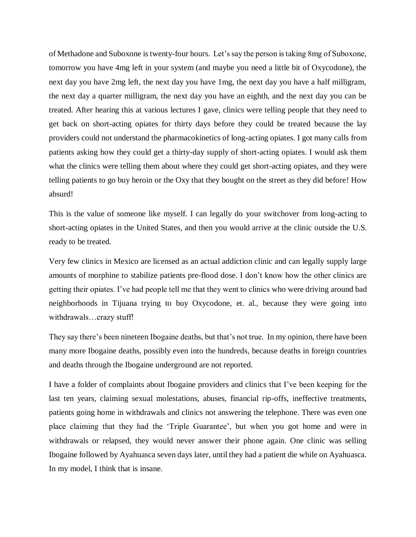of Methadone and Suboxone is twenty-four hours. Let's say the person is taking 8mg of Suboxone, tomorrow you have 4mg left in your system (and maybe you need a little bit of Oxycodone), the next day you have 2mg left, the next day you have 1mg, the next day you have a half milligram, the next day a quarter milligram, the next day you have an eighth, and the next day you can be treated. After hearing this at various lectures I gave, clinics were telling people that they need to get back on short-acting opiates for thirty days before they could be treated because the lay providers could not understand the pharmacokinetics of long-acting opiates. I got many calls from patients asking how they could get a thirty-day supply of short-acting opiates. I would ask them what the clinics were telling them about where they could get short-acting opiates, and they were telling patients to go buy heroin or the Oxy that they bought on the street as they did before! How absurd!

This is the value of someone like myself. I can legally do your switchover from long-acting to short-acting opiates in the United States, and then you would arrive at the clinic outside the U.S. ready to be treated.

Very few clinics in Mexico are licensed as an actual addiction clinic and can legally supply large amounts of morphine to stabilize patients pre-flood dose. I don't know how the other clinics are getting their opiates. I've had people tell me that they went to clinics who were driving around bad neighborhoods in Tijuana trying to buy Oxycodone, et. al., because they were going into withdrawals…crazy stuff!

They say there's been nineteen Ibogaine deaths, but that's not true. In my opinion, there have been many more Ibogaine deaths, possibly even into the hundreds, because deaths in foreign countries and deaths through the Ibogaine underground are not reported.

I have a folder of complaints about Ibogaine providers and clinics that I've been keeping for the last ten years, claiming sexual molestations, abuses, financial rip-offs, ineffective treatments, patients going home in withdrawals and clinics not answering the telephone. There was even one place claiming that they had the 'Triple Guarantee', but when you got home and were in withdrawals or relapsed, they would never answer their phone again. One clinic was selling Ibogaine followed by Ayahuasca seven days later, until they had a patient die while on Ayahuasca. In my model, I think that is insane.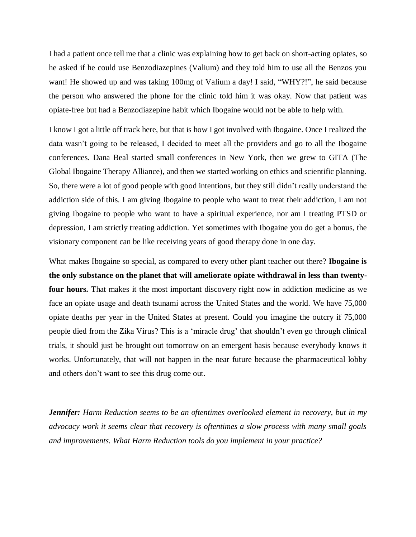I had a patient once tell me that a clinic was explaining how to get back on short-acting opiates, so he asked if he could use Benzodiazepines (Valium) and they told him to use all the Benzos you want! He showed up and was taking 100mg of Valium a day! I said, "WHY?!", he said because the person who answered the phone for the clinic told him it was okay. Now that patient was opiate-free but had a Benzodiazepine habit which Ibogaine would not be able to help with.

I know I got a little off track here, but that is how I got involved with Ibogaine. Once I realized the data wasn't going to be released, I decided to meet all the providers and go to all the Ibogaine conferences. Dana Beal started small conferences in New York, then we grew to GITA (The Global Ibogaine Therapy Alliance), and then we started working on ethics and scientific planning. So, there were a lot of good people with good intentions, but they still didn't really understand the addiction side of this. I am giving Ibogaine to people who want to treat their addiction, I am not giving Ibogaine to people who want to have a spiritual experience, nor am I treating PTSD or depression, I am strictly treating addiction. Yet sometimes with Ibogaine you do get a bonus, the visionary component can be like receiving years of good therapy done in one day.

What makes Ibogaine so special, as compared to every other plant teacher out there? **Ibogaine is the only substance on the planet that will ameliorate opiate withdrawal in less than twentyfour hours.** That makes it the most important discovery right now in addiction medicine as we face an opiate usage and death tsunami across the United States and the world. We have 75,000 opiate deaths per year in the United States at present. Could you imagine the outcry if 75,000 people died from the Zika Virus? This is a 'miracle drug' that shouldn't even go through clinical trials, it should just be brought out tomorrow on an emergent basis because everybody knows it works. Unfortunately, that will not happen in the near future because the pharmaceutical lobby and others don't want to see this drug come out.

*Jennifer: Harm Reduction seems to be an oftentimes overlooked element in recovery, but in my advocacy work it seems clear that recovery is oftentimes a slow process with many small goals and improvements. What Harm Reduction tools do you implement in your practice?*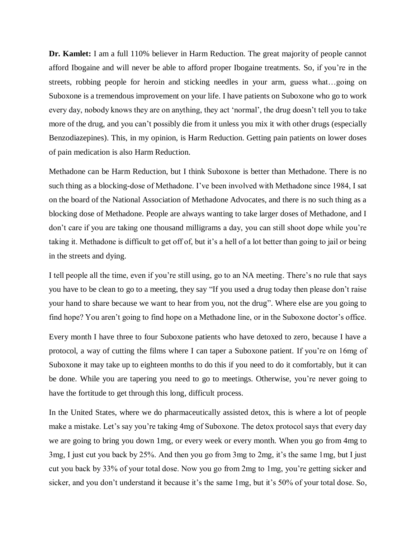**Dr. Kamlet:** I am a full 110% believer in Harm Reduction. The great majority of people cannot afford Ibogaine and will never be able to afford proper Ibogaine treatments. So, if you're in the streets, robbing people for heroin and sticking needles in your arm, guess what…going on Suboxone is a tremendous improvement on your life. I have patients on Suboxone who go to work every day, nobody knows they are on anything, they act 'normal', the drug doesn't tell you to take more of the drug, and you can't possibly die from it unless you mix it with other drugs (especially Benzodiazepines). This, in my opinion, is Harm Reduction. Getting pain patients on lower doses of pain medication is also Harm Reduction.

Methadone can be Harm Reduction, but I think Suboxone is better than Methadone. There is no such thing as a blocking-dose of Methadone. I've been involved with Methadone since 1984, I sat on the board of the National Association of Methadone Advocates, and there is no such thing as a blocking dose of Methadone. People are always wanting to take larger doses of Methadone, and I don't care if you are taking one thousand milligrams a day, you can still shoot dope while you're taking it. Methadone is difficult to get off of, but it's a hell of a lot better than going to jail or being in the streets and dying.

I tell people all the time, even if you're still using, go to an NA meeting. There's no rule that says you have to be clean to go to a meeting, they say "If you used a drug today then please don't raise your hand to share because we want to hear from you, not the drug". Where else are you going to find hope? You aren't going to find hope on a Methadone line, or in the Suboxone doctor's office.

Every month I have three to four Suboxone patients who have detoxed to zero, because I have a protocol, a way of cutting the films where I can taper a Suboxone patient. If you're on 16mg of Suboxone it may take up to eighteen months to do this if you need to do it comfortably, but it can be done. While you are tapering you need to go to meetings. Otherwise, you're never going to have the fortitude to get through this long, difficult process.

In the United States, where we do pharmaceutically assisted detox, this is where a lot of people make a mistake. Let's say you're taking 4mg of Suboxone. The detox protocol says that every day we are going to bring you down 1mg, or every week or every month. When you go from 4mg to 3mg, I just cut you back by 25%. And then you go from 3mg to 2mg, it's the same 1mg, but I just cut you back by 33% of your total dose. Now you go from 2mg to 1mg, you're getting sicker and sicker, and you don't understand it because it's the same 1mg, but it's 50% of your total dose. So,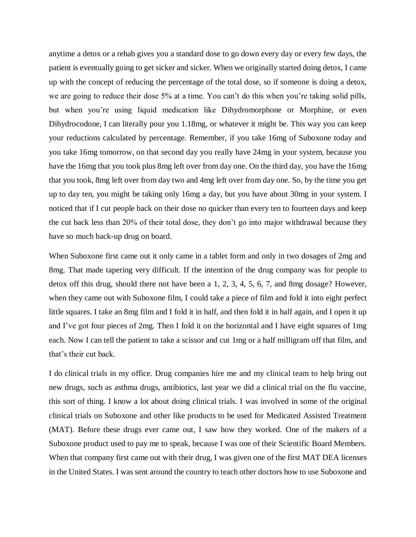anytime a detox or a rehab gives you a standard dose to go down every day or every few days, the patient is eventually going to get sicker and sicker. When we originally started doing detox, I came up with the concept of reducing the percentage of the total dose, so if someone is doing a detox, we are going to reduce their dose 5% at a time. You can't do this when you're taking solid pills, but when you're using liquid medication like Dihydromorphone or Morphine, or even Dihydrocodone, I can literally pour you 1.18mg, or whatever it might be. This way you can keep your reductions calculated by percentage. Remember, if you take 16mg of Suboxone today and you take 16mg tomorrow, on that second day you really have 24mg in your system, because you have the 16mg that you took plus 8mg left over from day one. On the third day, you have the 16mg that you took, 8mg left over from day two and 4mg left over from day one. So, by the time you get up to day ten, you might be taking only 16mg a day, but you have about 30mg in your system. I noticed that if I cut people back on their dose no quicker than every ten to fourteen days and keep the cut back less than 20% of their total dose, they don't go into major withdrawal because they have so much back-up drug on board.

When Suboxone first came out it only came in a tablet form and only in two dosages of 2mg and 8mg. That made tapering very difficult. If the intention of the drug company was for people to detox off this drug, should there not have been a 1, 2, 3, 4, 5, 6, 7, and 8mg dosage? However, when they came out with Suboxone film, I could take a piece of film and fold it into eight perfect little squares. I take an 8mg film and I fold it in half, and then fold it in half again, and I open it up and I've got four pieces of 2mg. Then I fold it on the horizontal and I have eight squares of 1mg each. Now I can tell the patient to take a scissor and cut 1mg or a half milligram off that film, and that's their cut back.

I do clinical trials in my office. Drug companies hire me and my clinical team to help bring out new drugs, such as asthma drugs, antibiotics, last year we did a clinical trial on the flu vaccine, this sort of thing. I know a lot about doing clinical trials. I was involved in some of the original clinical trials on Suboxone and other like products to be used for Medicated Assisted Treatment (MAT). Before these drugs ever came out, I saw how they worked. One of the makers of a Suboxone product used to pay me to speak, because I was one of their Scientific Board Members. When that company first came out with their drug, I was given one of the first MAT DEA licenses in the United States. I was sent around the country to teach other doctors how to use Suboxone and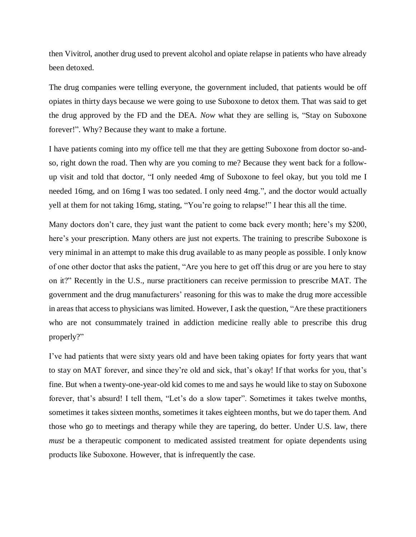then Vivitrol, another drug used to prevent alcohol and opiate relapse in patients who have already been detoxed.

The drug companies were telling everyone, the government included, that patients would be off opiates in thirty days because we were going to use Suboxone to detox them. That was said to get the drug approved by the FD and the DEA. *Now* what they are selling is, "Stay on Suboxone forever!". Why? Because they want to make a fortune.

I have patients coming into my office tell me that they are getting Suboxone from doctor so-andso, right down the road. Then why are you coming to me? Because they went back for a followup visit and told that doctor, "I only needed 4mg of Suboxone to feel okay, but you told me I needed 16mg, and on 16mg I was too sedated. I only need 4mg.", and the doctor would actually yell at them for not taking 16mg, stating, "You're going to relapse!" I hear this all the time.

Many doctors don't care, they just want the patient to come back every month; here's my \$200, here's your prescription. Many others are just not experts. The training to prescribe Suboxone is very minimal in an attempt to make this drug available to as many people as possible. I only know of one other doctor that asks the patient, "Are you here to get off this drug or are you here to stay on it?" Recently in the U.S., nurse practitioners can receive permission to prescribe MAT. The government and the drug manufacturers' reasoning for this was to make the drug more accessible in areas that access to physicians was limited. However, I ask the question, "Are these practitioners who are not consummately trained in addiction medicine really able to prescribe this drug properly?"

I've had patients that were sixty years old and have been taking opiates for forty years that want to stay on MAT forever, and since they're old and sick, that's okay! If that works for you, that's fine. But when a twenty-one-year-old kid comes to me and says he would like to stay on Suboxone forever, that's absurd! I tell them, "Let's do a slow taper". Sometimes it takes twelve months, sometimes it takes sixteen months, sometimes it takes eighteen months, but we do taper them. And those who go to meetings and therapy while they are tapering, do better. Under U.S. law, there *must* be a therapeutic component to medicated assisted treatment for opiate dependents using products like Suboxone. However, that is infrequently the case.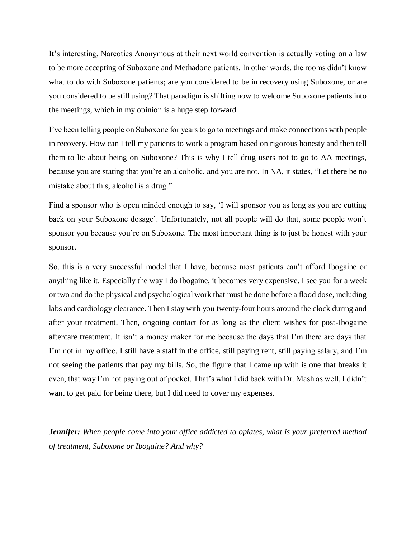It's interesting, Narcotics Anonymous at their next world convention is actually voting on a law to be more accepting of Suboxone and Methadone patients. In other words, the rooms didn't know what to do with Suboxone patients; are you considered to be in recovery using Suboxone, or are you considered to be still using? That paradigm is shifting now to welcome Suboxone patients into the meetings, which in my opinion is a huge step forward.

I've been telling people on Suboxone for years to go to meetings and make connections with people in recovery. How can I tell my patients to work a program based on rigorous honesty and then tell them to lie about being on Suboxone? This is why I tell drug users not to go to AA meetings, because you are stating that you're an alcoholic, and you are not. In NA, it states, "Let there be no mistake about this, alcohol is a drug."

Find a sponsor who is open minded enough to say, 'I will sponsor you as long as you are cutting back on your Suboxone dosage'. Unfortunately, not all people will do that, some people won't sponsor you because you're on Suboxone. The most important thing is to just be honest with your sponsor.

So, this is a very successful model that I have, because most patients can't afford Ibogaine or anything like it. Especially the way I do Ibogaine, it becomes very expensive. I see you for a week or two and do the physical and psychological work that must be done before a flood dose, including labs and cardiology clearance. Then I stay with you twenty-four hours around the clock during and after your treatment. Then, ongoing contact for as long as the client wishes for post-Ibogaine aftercare treatment. It isn't a money maker for me because the days that I'm there are days that I'm not in my office. I still have a staff in the office, still paying rent, still paying salary, and I'm not seeing the patients that pay my bills. So, the figure that I came up with is one that breaks it even, that way I'm not paying out of pocket. That's what I did back with Dr. Mash as well, I didn't want to get paid for being there, but I did need to cover my expenses.

*Jennifer: When people come into your office addicted to opiates, what is your preferred method of treatment, Suboxone or Ibogaine? And why?*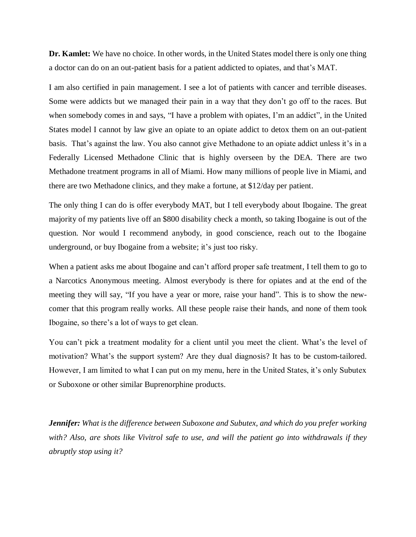**Dr. Kamlet:** We have no choice. In other words, in the United States model there is only one thing a doctor can do on an out-patient basis for a patient addicted to opiates, and that's MAT.

I am also certified in pain management. I see a lot of patients with cancer and terrible diseases. Some were addicts but we managed their pain in a way that they don't go off to the races. But when somebody comes in and says, "I have a problem with opiates, I'm an addict", in the United States model I cannot by law give an opiate to an opiate addict to detox them on an out-patient basis. That's against the law. You also cannot give Methadone to an opiate addict unless it's in a Federally Licensed Methadone Clinic that is highly overseen by the DEA. There are two Methadone treatment programs in all of Miami. How many millions of people live in Miami, and there are two Methadone clinics, and they make a fortune, at \$12/day per patient.

The only thing I can do is offer everybody MAT, but I tell everybody about Ibogaine. The great majority of my patients live off an \$800 disability check a month, so taking Ibogaine is out of the question. Nor would I recommend anybody, in good conscience, reach out to the Ibogaine underground, or buy Ibogaine from a website; it's just too risky.

When a patient asks me about Ibogaine and can't afford proper safe treatment, I tell them to go to a Narcotics Anonymous meeting. Almost everybody is there for opiates and at the end of the meeting they will say, "If you have a year or more, raise your hand". This is to show the newcomer that this program really works. All these people raise their hands, and none of them took Ibogaine, so there's a lot of ways to get clean.

You can't pick a treatment modality for a client until you meet the client. What's the level of motivation? What's the support system? Are they dual diagnosis? It has to be custom-tailored. However, I am limited to what I can put on my menu, here in the United States, it's only Subutex or Suboxone or other similar Buprenorphine products.

*Jennifer: What is the difference between Suboxone and Subutex, and which do you prefer working with? Also, are shots like Vivitrol safe to use, and will the patient go into withdrawals if they abruptly stop using it?*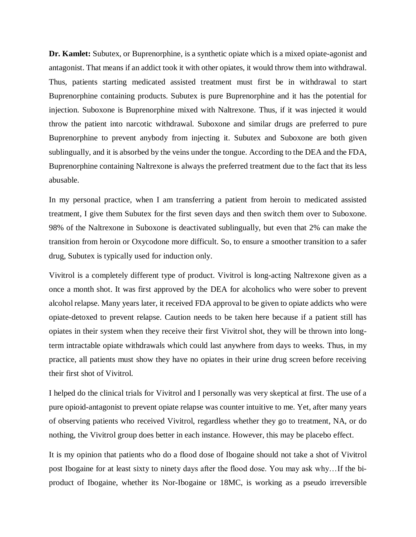**Dr. Kamlet:** Subutex, or Buprenorphine, is a synthetic opiate which is a mixed opiate-agonist and antagonist. That means if an addict took it with other opiates, it would throw them into withdrawal. Thus, patients starting medicated assisted treatment must first be in withdrawal to start Buprenorphine containing products. Subutex is pure Buprenorphine and it has the potential for injection. Suboxone is Buprenorphine mixed with Naltrexone. Thus, if it was injected it would throw the patient into narcotic withdrawal. Suboxone and similar drugs are preferred to pure Buprenorphine to prevent anybody from injecting it. Subutex and Suboxone are both given sublingually, and it is absorbed by the veins under the tongue. According to the DEA and the FDA, Buprenorphine containing Naltrexone is always the preferred treatment due to the fact that its less abusable.

In my personal practice, when I am transferring a patient from heroin to medicated assisted treatment, I give them Subutex for the first seven days and then switch them over to Suboxone. 98% of the Naltrexone in Suboxone is deactivated sublingually, but even that 2% can make the transition from heroin or Oxycodone more difficult. So, to ensure a smoother transition to a safer drug, Subutex is typically used for induction only.

Vivitrol is a completely different type of product. Vivitrol is long-acting Naltrexone given as a once a month shot. It was first approved by the DEA for alcoholics who were sober to prevent alcohol relapse. Many years later, it received FDA approval to be given to opiate addicts who were opiate-detoxed to prevent relapse. Caution needs to be taken here because if a patient still has opiates in their system when they receive their first Vivitrol shot, they will be thrown into longterm intractable opiate withdrawals which could last anywhere from days to weeks. Thus, in my practice, all patients must show they have no opiates in their urine drug screen before receiving their first shot of Vivitrol.

I helped do the clinical trials for Vivitrol and I personally was very skeptical at first. The use of a pure opioid-antagonist to prevent opiate relapse was counter intuitive to me. Yet, after many years of observing patients who received Vivitrol, regardless whether they go to treatment, NA, or do nothing, the Vivitrol group does better in each instance. However, this may be placebo effect.

It is my opinion that patients who do a flood dose of Ibogaine should not take a shot of Vivitrol post Ibogaine for at least sixty to ninety days after the flood dose. You may ask why…If the biproduct of Ibogaine, whether its Nor-Ibogaine or 18MC, is working as a pseudo irreversible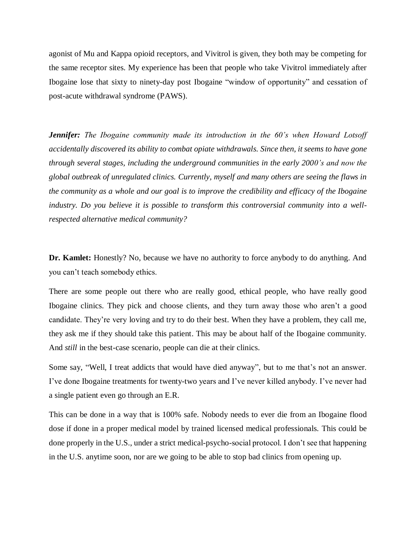agonist of Mu and Kappa opioid receptors, and Vivitrol is given, they both may be competing for the same receptor sites. My experience has been that people who take Vivitrol immediately after Ibogaine lose that sixty to ninety-day post Ibogaine "window of opportunity" and cessation of post-acute withdrawal syndrome (PAWS).

*Jennifer: The Ibogaine community made its introduction in the 60's when Howard Lotsoff accidentally discovered its ability to combat opiate withdrawals. Since then, it seems to have gone through several stages, including the underground communities in the early 2000's and now the global outbreak of unregulated clinics. Currently, myself and many others are seeing the flaws in the community as a whole and our goal is to improve the credibility and efficacy of the Ibogaine industry. Do you believe it is possible to transform this controversial community into a wellrespected alternative medical community?* 

**Dr. Kamlet:** Honestly? No, because we have no authority to force anybody to do anything. And you can't teach somebody ethics.

There are some people out there who are really good, ethical people, who have really good Ibogaine clinics. They pick and choose clients, and they turn away those who aren't a good candidate. They're very loving and try to do their best. When they have a problem, they call me, they ask me if they should take this patient. This may be about half of the Ibogaine community. And *still* in the best-case scenario, people can die at their clinics.

Some say, "Well, I treat addicts that would have died anyway", but to me that's not an answer. I've done Ibogaine treatments for twenty-two years and I've never killed anybody. I've never had a single patient even go through an E.R.

This can be done in a way that is 100% safe. Nobody needs to ever die from an Ibogaine flood dose if done in a proper medical model by trained licensed medical professionals. This could be done properly in the U.S., under a strict medical-psycho-social protocol. I don't see that happening in the U.S. anytime soon, nor are we going to be able to stop bad clinics from opening up.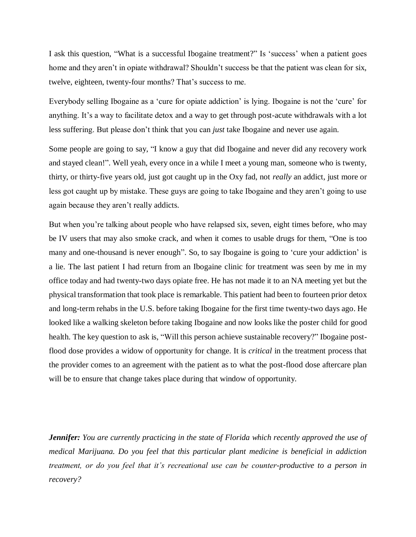I ask this question, "What is a successful Ibogaine treatment?" Is 'success' when a patient goes home and they aren't in opiate withdrawal? Shouldn't success be that the patient was clean for six, twelve, eighteen, twenty-four months? That's success to me.

Everybody selling Ibogaine as a 'cure for opiate addiction' is lying. Ibogaine is not the 'cure' for anything. It's a way to facilitate detox and a way to get through post-acute withdrawals with a lot less suffering. But please don't think that you can *just* take Ibogaine and never use again.

Some people are going to say, "I know a guy that did Ibogaine and never did any recovery work and stayed clean!". Well yeah, every once in a while I meet a young man, someone who is twenty, thirty, or thirty-five years old, just got caught up in the Oxy fad, not *really* an addict, just more or less got caught up by mistake. These guys are going to take Ibogaine and they aren't going to use again because they aren't really addicts.

But when you're talking about people who have relapsed six, seven, eight times before, who may be IV users that may also smoke crack, and when it comes to usable drugs for them, "One is too many and one-thousand is never enough". So, to say Ibogaine is going to 'cure your addiction' is a lie. The last patient I had return from an Ibogaine clinic for treatment was seen by me in my office today and had twenty-two days opiate free. He has not made it to an NA meeting yet but the physical transformation that took place is remarkable. This patient had been to fourteen prior detox and long-term rehabs in the U.S. before taking Ibogaine for the first time twenty-two days ago. He looked like a walking skeleton before taking Ibogaine and now looks like the poster child for good health. The key question to ask is, "Will this person achieve sustainable recovery?" Ibogaine postflood dose provides a widow of opportunity for change. It is *critical* in the treatment process that the provider comes to an agreement with the patient as to what the post-flood dose aftercare plan will be to ensure that change takes place during that window of opportunity.

*Jennifer: You are currently practicing in the state of Florida which recently approved the use of medical Marijuana. Do you feel that this particular plant medicine is beneficial in addiction treatment, or do you feel that it's recreational use can be counter-productive to a person in recovery?*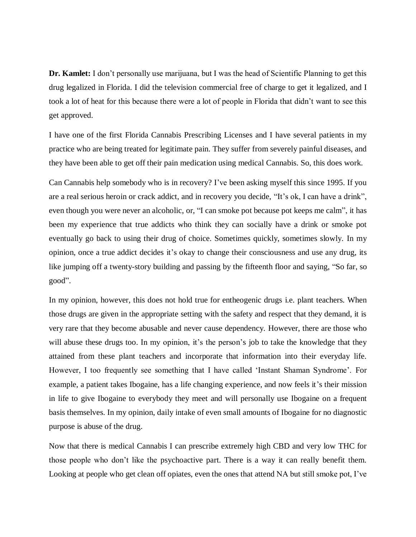**Dr. Kamlet:** I don't personally use marijuana, but I was the head of Scientific Planning to get this drug legalized in Florida. I did the television commercial free of charge to get it legalized, and I took a lot of heat for this because there were a lot of people in Florida that didn't want to see this get approved.

I have one of the first Florida Cannabis Prescribing Licenses and I have several patients in my practice who are being treated for legitimate pain. They suffer from severely painful diseases, and they have been able to get off their pain medication using medical Cannabis. So, this does work.

Can Cannabis help somebody who is in recovery? I've been asking myself this since 1995. If you are a real serious heroin or crack addict, and in recovery you decide, "It's ok, I can have a drink", even though you were never an alcoholic, or, "I can smoke pot because pot keeps me calm", it has been my experience that true addicts who think they can socially have a drink or smoke pot eventually go back to using their drug of choice. Sometimes quickly, sometimes slowly. In my opinion, once a true addict decides it's okay to change their consciousness and use any drug, its like jumping off a twenty-story building and passing by the fifteenth floor and saying, "So far, so good".

In my opinion, however, this does not hold true for entheogenic drugs i.e. plant teachers. When those drugs are given in the appropriate setting with the safety and respect that they demand, it is very rare that they become abusable and never cause dependency. However, there are those who will abuse these drugs too. In my opinion, it's the person's job to take the knowledge that they attained from these plant teachers and incorporate that information into their everyday life. However, I too frequently see something that I have called 'Instant Shaman Syndrome'. For example, a patient takes Ibogaine, has a life changing experience, and now feels it's their mission in life to give Ibogaine to everybody they meet and will personally use Ibogaine on a frequent basis themselves. In my opinion, daily intake of even small amounts of Ibogaine for no diagnostic purpose is abuse of the drug.

Now that there is medical Cannabis I can prescribe extremely high CBD and very low THC for those people who don't like the psychoactive part. There is a way it can really benefit them. Looking at people who get clean off opiates, even the ones that attend NA but still smoke pot, I've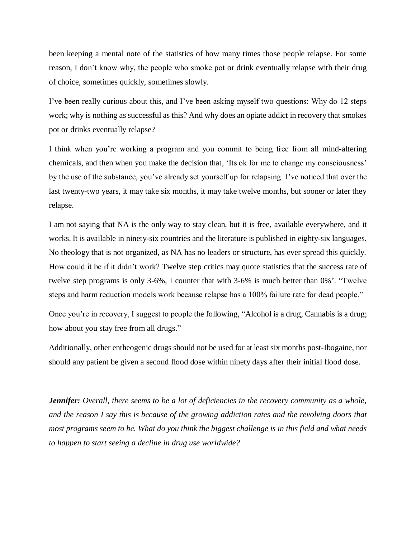been keeping a mental note of the statistics of how many times those people relapse. For some reason, I don't know why, the people who smoke pot or drink eventually relapse with their drug of choice, sometimes quickly, sometimes slowly.

I've been really curious about this, and I've been asking myself two questions: Why do 12 steps work; why is nothing as successful as this? And why does an opiate addict in recovery that smokes pot or drinks eventually relapse?

I think when you're working a program and you commit to being free from all mind-altering chemicals, and then when you make the decision that, 'Its ok for me to change my consciousness' by the use of the substance, you've already set yourself up for relapsing. I've noticed that over the last twenty-two years, it may take six months, it may take twelve months, but sooner or later they relapse.

I am not saying that NA is the only way to stay clean, but it is free, available everywhere, and it works. It is available in ninety-six countries and the literature is published in eighty-six languages. No theology that is not organized, as NA has no leaders or structure, has ever spread this quickly. How could it be if it didn't work? Twelve step critics may quote statistics that the success rate of twelve step programs is only 3-6%, I counter that with 3-6% is much better than 0%'. "Twelve steps and harm reduction models work because relapse has a 100% failure rate for dead people."

Once you're in recovery, I suggest to people the following, "Alcohol is a drug, Cannabis is a drug; how about you stay free from all drugs."

Additionally, other entheogenic drugs should not be used for at least six months post-Ibogaine, nor should any patient be given a second flood dose within ninety days after their initial flood dose.

*Jennifer: Overall, there seems to be a lot of deficiencies in the recovery community as a whole, and the reason I say this is because of the growing addiction rates and the revolving doors that most programs seem to be. What do you think the biggest challenge is in this field and what needs to happen to start seeing a decline in drug use worldwide?*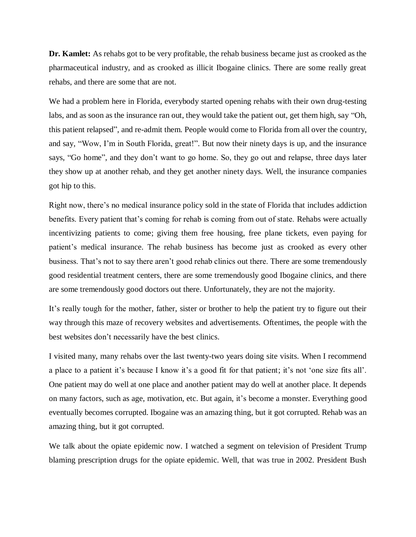**Dr. Kamlet:** As rehabs got to be very profitable, the rehab business became just as crooked as the pharmaceutical industry, and as crooked as illicit Ibogaine clinics. There are some really great rehabs, and there are some that are not.

We had a problem here in Florida, everybody started opening rehabs with their own drug-testing labs, and as soon as the insurance ran out, they would take the patient out, get them high, say "Oh, this patient relapsed", and re-admit them. People would come to Florida from all over the country, and say, "Wow, I'm in South Florida, great!". But now their ninety days is up, and the insurance says, "Go home", and they don't want to go home. So, they go out and relapse, three days later they show up at another rehab, and they get another ninety days. Well, the insurance companies got hip to this.

Right now, there's no medical insurance policy sold in the state of Florida that includes addiction benefits. Every patient that's coming for rehab is coming from out of state. Rehabs were actually incentivizing patients to come; giving them free housing, free plane tickets, even paying for patient's medical insurance. The rehab business has become just as crooked as every other business. That's not to say there aren't good rehab clinics out there. There are some tremendously good residential treatment centers, there are some tremendously good Ibogaine clinics, and there are some tremendously good doctors out there. Unfortunately, they are not the majority.

It's really tough for the mother, father, sister or brother to help the patient try to figure out their way through this maze of recovery websites and advertisements. Oftentimes, the people with the best websites don't necessarily have the best clinics.

I visited many, many rehabs over the last twenty-two years doing site visits. When I recommend a place to a patient it's because I know it's a good fit for that patient; it's not 'one size fits all'. One patient may do well at one place and another patient may do well at another place. It depends on many factors, such as age, motivation, etc. But again, it's become a monster. Everything good eventually becomes corrupted. Ibogaine was an amazing thing, but it got corrupted. Rehab was an amazing thing, but it got corrupted.

We talk about the opiate epidemic now. I watched a segment on television of President Trump blaming prescription drugs for the opiate epidemic. Well, that was true in 2002. President Bush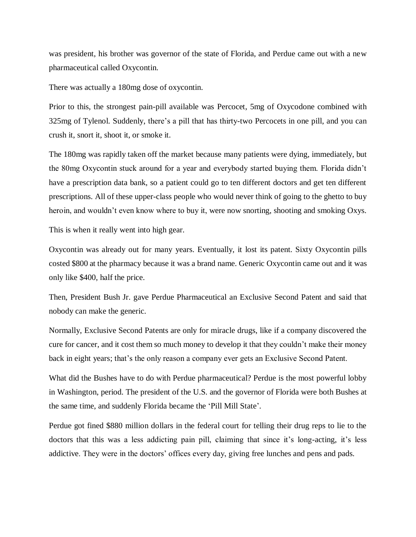was president, his brother was governor of the state of Florida, and Perdue came out with a new pharmaceutical called Oxycontin.

There was actually a 180mg dose of oxycontin.

Prior to this, the strongest pain-pill available was Percocet, 5mg of Oxycodone combined with 325mg of Tylenol. Suddenly, there's a pill that has thirty-two Percocets in one pill, and you can crush it, snort it, shoot it, or smoke it.

The 180mg was rapidly taken off the market because many patients were dying, immediately, but the 80mg Oxycontin stuck around for a year and everybody started buying them. Florida didn't have a prescription data bank, so a patient could go to ten different doctors and get ten different prescriptions. All of these upper-class people who would never think of going to the ghetto to buy heroin, and wouldn't even know where to buy it, were now snorting, shooting and smoking Oxys.

This is when it really went into high gear.

Oxycontin was already out for many years. Eventually, it lost its patent. Sixty Oxycontin pills costed \$800 at the pharmacy because it was a brand name. Generic Oxycontin came out and it was only like \$400, half the price.

Then, President Bush Jr. gave Perdue Pharmaceutical an Exclusive Second Patent and said that nobody can make the generic.

Normally, Exclusive Second Patents are only for miracle drugs, like if a company discovered the cure for cancer, and it cost them so much money to develop it that they couldn't make their money back in eight years; that's the only reason a company ever gets an Exclusive Second Patent.

What did the Bushes have to do with Perdue pharmaceutical? Perdue is the most powerful lobby in Washington, period. The president of the U.S. and the governor of Florida were both Bushes at the same time, and suddenly Florida became the 'Pill Mill State'.

Perdue got fined \$880 million dollars in the federal court for telling their drug reps to lie to the doctors that this was a less addicting pain pill, claiming that since it's long-acting, it's less addictive. They were in the doctors' offices every day, giving free lunches and pens and pads.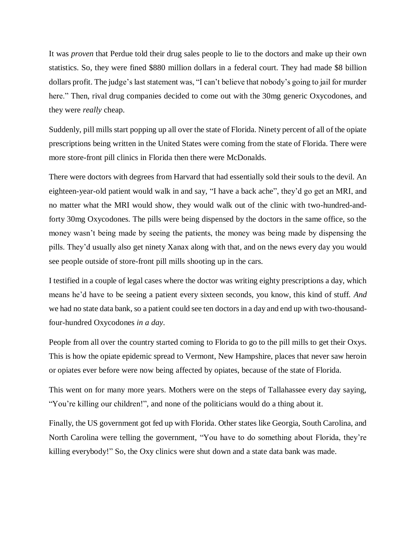It was *proven* that Perdue told their drug sales people to lie to the doctors and make up their own statistics. So, they were fined \$880 million dollars in a federal court. They had made \$8 billion dollars profit. The judge's last statement was, "I can't believe that nobody's going to jail for murder here." Then, rival drug companies decided to come out with the 30mg generic Oxycodones, and they were *really* cheap.

Suddenly, pill mills start popping up all over the state of Florida. Ninety percent of all of the opiate prescriptions being written in the United States were coming from the state of Florida. There were more store-front pill clinics in Florida then there were McDonalds.

There were doctors with degrees from Harvard that had essentially sold their souls to the devil. An eighteen-year-old patient would walk in and say, "I have a back ache", they'd go get an MRI, and no matter what the MRI would show, they would walk out of the clinic with two-hundred-andforty 30mg Oxycodones. The pills were being dispensed by the doctors in the same office, so the money wasn't being made by seeing the patients, the money was being made by dispensing the pills. They'd usually also get ninety Xanax along with that, and on the news every day you would see people outside of store-front pill mills shooting up in the cars.

I testified in a couple of legal cases where the doctor was writing eighty prescriptions a day, which means he'd have to be seeing a patient every sixteen seconds, you know, this kind of stuff. *And* we had no state data bank, so a patient could see ten doctors in a day and end up with two-thousandfour-hundred Oxycodones *in a day*.

People from all over the country started coming to Florida to go to the pill mills to get their Oxys. This is how the opiate epidemic spread to Vermont, New Hampshire, places that never saw heroin or opiates ever before were now being affected by opiates, because of the state of Florida.

This went on for many more years. Mothers were on the steps of Tallahassee every day saying, "You're killing our children!", and none of the politicians would do a thing about it.

Finally, the US government got fed up with Florida. Other states like Georgia, South Carolina, and North Carolina were telling the government, "You have to do something about Florida, they're killing everybody!" So, the Oxy clinics were shut down and a state data bank was made.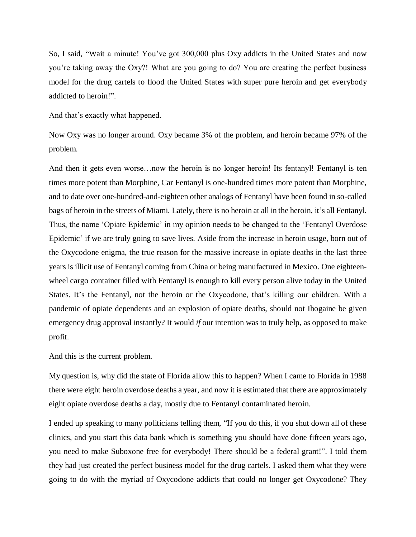So, I said, "Wait a minute! You've got 300,000 plus Oxy addicts in the United States and now you're taking away the Oxy?! What are you going to do? You are creating the perfect business model for the drug cartels to flood the United States with super pure heroin and get everybody addicted to heroin!".

And that's exactly what happened.

Now Oxy was no longer around. Oxy became 3% of the problem, and heroin became 97% of the problem.

And then it gets even worse…now the heroin is no longer heroin! Its fentanyl! Fentanyl is ten times more potent than Morphine, Car Fentanyl is one-hundred times more potent than Morphine, and to date over one-hundred-and-eighteen other analogs of Fentanyl have been found in so-called bags of heroin in the streets of Miami. Lately, there is no heroin at all in the heroin, it's all Fentanyl. Thus, the name 'Opiate Epidemic' in my opinion needs to be changed to the 'Fentanyl Overdose Epidemic' if we are truly going to save lives. Aside from the increase in heroin usage, born out of the Oxycodone enigma, the true reason for the massive increase in opiate deaths in the last three years is illicit use of Fentanyl coming from China or being manufactured in Mexico. One eighteenwheel cargo container filled with Fentanyl is enough to kill every person alive today in the United States. It's the Fentanyl, not the heroin or the Oxycodone, that's killing our children. With a pandemic of opiate dependents and an explosion of opiate deaths, should not Ibogaine be given emergency drug approval instantly? It would *if* our intention was to truly help, as opposed to make profit.

And this is the current problem.

My question is, why did the state of Florida allow this to happen? When I came to Florida in 1988 there were eight heroin overdose deaths a year, and now it is estimated that there are approximately eight opiate overdose deaths a day, mostly due to Fentanyl contaminated heroin.

I ended up speaking to many politicians telling them, "If you do this, if you shut down all of these clinics, and you start this data bank which is something you should have done fifteen years ago, you need to make Suboxone free for everybody! There should be a federal grant!". I told them they had just created the perfect business model for the drug cartels. I asked them what they were going to do with the myriad of Oxycodone addicts that could no longer get Oxycodone? They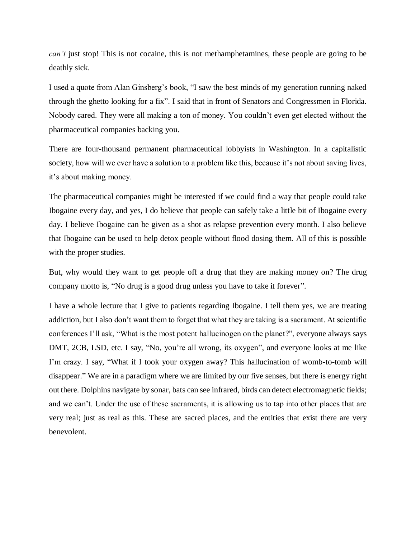*can't* just stop! This is not cocaine, this is not methamphetamines, these people are going to be deathly sick.

I used a quote from Alan Ginsberg's book, "I saw the best minds of my generation running naked through the ghetto looking for a fix". I said that in front of Senators and Congressmen in Florida. Nobody cared. They were all making a ton of money. You couldn't even get elected without the pharmaceutical companies backing you.

There are four-thousand permanent pharmaceutical lobbyists in Washington. In a capitalistic society, how will we ever have a solution to a problem like this, because it's not about saving lives, it's about making money.

The pharmaceutical companies might be interested if we could find a way that people could take Ibogaine every day, and yes, I do believe that people can safely take a little bit of Ibogaine every day. I believe Ibogaine can be given as a shot as relapse prevention every month. I also believe that Ibogaine can be used to help detox people without flood dosing them. All of this is possible with the proper studies.

But, why would they want to get people off a drug that they are making money on? The drug company motto is, "No drug is a good drug unless you have to take it forever".

I have a whole lecture that I give to patients regarding Ibogaine. I tell them yes, we are treating addiction, but I also don't want them to forget that what they are taking is a sacrament. At scientific conferences I'll ask, "What is the most potent hallucinogen on the planet?", everyone always says DMT, 2CB, LSD, etc. I say, "No, you're all wrong, its oxygen", and everyone looks at me like I'm crazy. I say, "What if I took your oxygen away? This hallucination of womb-to-tomb will disappear." We are in a paradigm where we are limited by our five senses, but there is energy right out there. Dolphins navigate by sonar, bats can see infrared, birds can detect electromagnetic fields; and we can't. Under the use of these sacraments, it is allowing us to tap into other places that are very real; just as real as this. These are sacred places, and the entities that exist there are very benevolent.